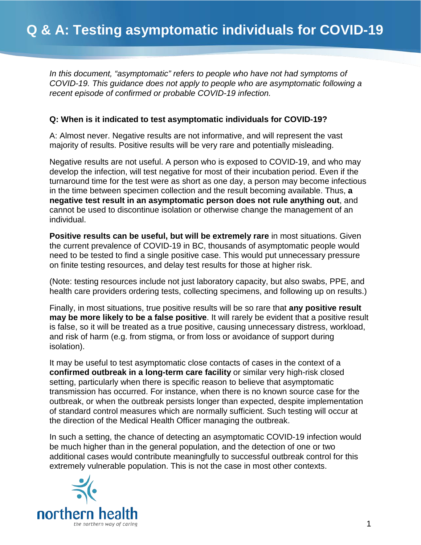*In this document, "asymptomatic" refers to people who have not had symptoms of COVID-19. This guidance does not apply to people who are asymptomatic following a recent episode of confirmed or probable COVID-19 infection.*

## **Q: When is it indicated to test asymptomatic individuals for COVID-19?**

A: Almost never. Negative results are not informative, and will represent the vast majority of results. Positive results will be very rare and potentially misleading.

Negative results are not useful. A person who is exposed to COVID-19, and who may develop the infection, will test negative for most of their incubation period. Even if the turnaround time for the test were as short as one day, a person may become infectious in the time between specimen collection and the result becoming available. Thus, **a negative test result in an asymptomatic person does not rule anything out**, and cannot be used to discontinue isolation or otherwise change the management of an individual.

**Positive results can be useful, but will be extremely rare** in most situations. Given the current prevalence of COVID-19 in BC, thousands of asymptomatic people would need to be tested to find a single positive case. This would put unnecessary pressure on finite testing resources, and delay test results for those at higher risk.

(Note: testing resources include not just laboratory capacity, but also swabs, PPE, and health care providers ordering tests, collecting specimens, and following up on results.)

Finally, in most situations, true positive results will be so rare that **any positive result may be more likely to be a false positive**. It will rarely be evident that a positive result is false, so it will be treated as a true positive, causing unnecessary distress, workload, and risk of harm (e.g. from stigma, or from loss or avoidance of support during isolation).

It may be useful to test asymptomatic close contacts of cases in the context of a **confirmed outbreak in a long-term care facility** or similar very high-risk closed setting, particularly when there is specific reason to believe that asymptomatic transmission has occurred. For instance, when there is no known source case for the outbreak, or when the outbreak persists longer than expected, despite implementation of standard control measures which are normally sufficient. Such testing will occur at the direction of the Medical Health Officer managing the outbreak.

In such a setting, the chance of detecting an asymptomatic COVID-19 infection would be much higher than in the general population, and the detection of one or two additional cases would contribute meaningfully to successful outbreak control for this extremely vulnerable population. This is not the case in most other contexts.

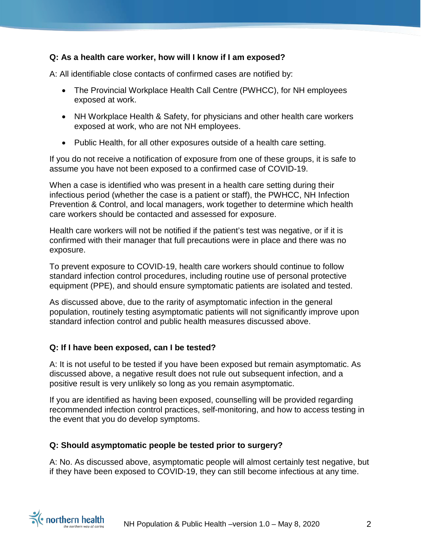# **Q: As a health care worker, how will I know if I am exposed?**

A: All identifiable close contacts of confirmed cases are notified by:

- The Provincial Workplace Health Call Centre (PWHCC), for NH employees exposed at work.
- NH Workplace Health & Safety, for physicians and other health care workers exposed at work, who are not NH employees.
- Public Health, for all other exposures outside of a health care setting.

If you do not receive a notification of exposure from one of these groups, it is safe to assume you have not been exposed to a confirmed case of COVID-19.

When a case is identified who was present in a health care setting during their infectious period (whether the case is a patient or staff), the PWHCC, NH Infection Prevention & Control, and local managers, work together to determine which health care workers should be contacted and assessed for exposure.

Health care workers will not be notified if the patient's test was negative, or if it is confirmed with their manager that full precautions were in place and there was no exposure.

To prevent exposure to COVID-19, health care workers should continue to follow standard infection control procedures, including routine use of personal protective equipment (PPE), and should ensure symptomatic patients are isolated and tested.

As discussed above, due to the rarity of asymptomatic infection in the general population, routinely testing asymptomatic patients will not significantly improve upon standard infection control and public health measures discussed above.

#### **Q: If I have been exposed, can I be tested?**

A: It is not useful to be tested if you have been exposed but remain asymptomatic. As discussed above, a negative result does not rule out subsequent infection, and a positive result is very unlikely so long as you remain asymptomatic.

If you are identified as having been exposed, counselling will be provided regarding recommended infection control practices, self-monitoring, and how to access testing in the event that you do develop symptoms.

#### **Q: Should asymptomatic people be tested prior to surgery?**

A: No. As discussed above, asymptomatic people will almost certainly test negative, but if they have been exposed to COVID-19, they can still become infectious at any time.